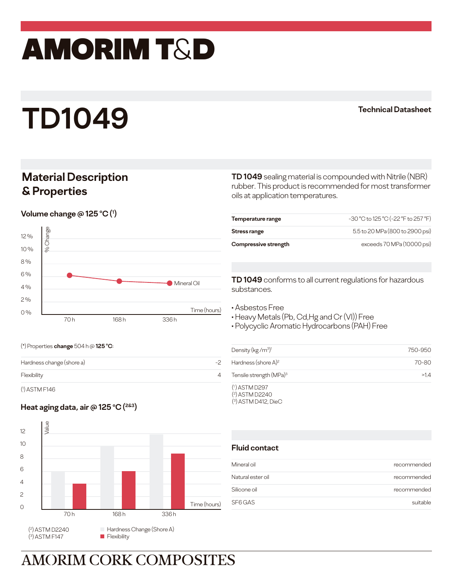# amorim T&D

# **TD1049**

#### **Technical Datasheet**

## **Material Description & Properties**

 $\blacksquare$  Volume change @ 125 °C (1)



**TD 1049** sealing material is compounded with Nitrile (NBR) rubber. This product is recommended for most transformer oils at application temperatures.

| Temperature range    | -30 °C to 125 °C (-22 °F to 257 °F) |
|----------------------|-------------------------------------|
| Stress range         | 5.5 to 20 MPa (800 to 2900 psi)     |
| Compressive strength | exceeds 70 MPa (10000 psi)          |

**TD 1049** conforms to all current regulations for hazardous substances.

- Asbestos Free
- Heavy Metals (Pb, Cd,Hg and Cr (VI)) Free
- Polycyclic Aromatic Hydrocarbons (PAH) Free

(\*) Properties **change** 504 h @ **125 o C**:

| Hardness change (shore a) | - |
|---------------------------|---|
| Flexibility               |   |
|                           |   |

( 1 ) ASTM F146

### **Heat aging data, air @ 125 o C (2&3)**



| Density (kg/m <sup>3)1</sup>                                 | 750-950 |
|--------------------------------------------------------------|---------|
| Hardness (shore $A$ ) <sup>2</sup>                           | 70-80   |
| Tensile strength (MPa) <sup>3</sup>                          | >14     |
| $(1)$ ASTM D297<br>$(2)$ ASTM D2240<br>$(3)$ ASTM D412, DieC |         |

#### **Fluid contact**

| Mineral oil       | recommended |
|-------------------|-------------|
| Natural ester oil | recommended |
| Silicone oil      | recommended |
| SF6 GAS           | suitable    |

**AMORIM CORK COMPOSITES**